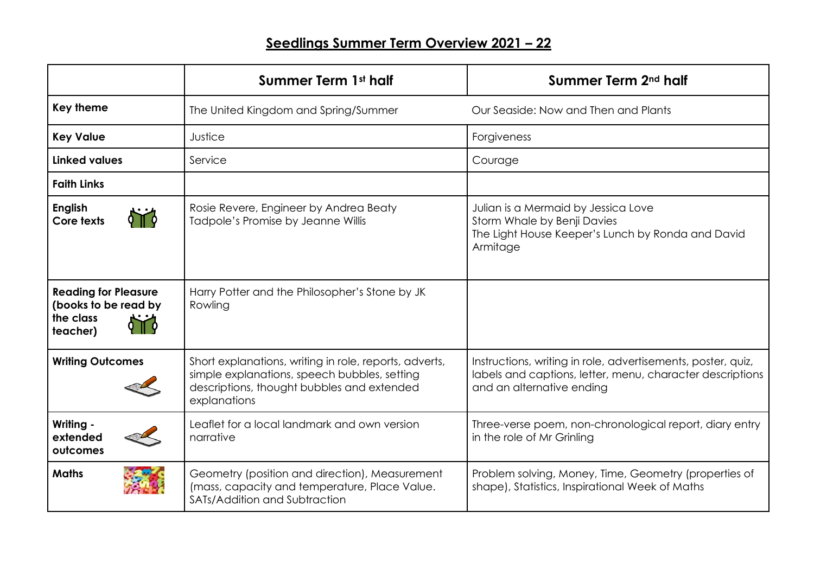|                                                                              | Summer Term 1st half                                                                                                                                                 | Summer Term 2 <sup>nd</sup> half                                                                                                                       |
|------------------------------------------------------------------------------|----------------------------------------------------------------------------------------------------------------------------------------------------------------------|--------------------------------------------------------------------------------------------------------------------------------------------------------|
| <b>Key theme</b>                                                             | The United Kingdom and Spring/Summer                                                                                                                                 | Our Seaside: Now and Then and Plants                                                                                                                   |
| <b>Key Value</b>                                                             | Justice                                                                                                                                                              | Forgiveness                                                                                                                                            |
| <b>Linked values</b>                                                         | Service                                                                                                                                                              | Courage                                                                                                                                                |
| <b>Faith Links</b>                                                           |                                                                                                                                                                      |                                                                                                                                                        |
| <b>English</b><br>Core texts                                                 | Rosie Revere, Engineer by Andrea Beaty<br>Tadpole's Promise by Jeanne Willis                                                                                         | Julian is a Mermaid by Jessica Love<br>Storm Whale by Benji Davies<br>The Light House Keeper's Lunch by Ronda and David<br>Armitage                    |
| <b>Reading for Pleasure</b><br>(books to be read by<br>the class<br>teacher) | Harry Potter and the Philosopher's Stone by JK<br>Rowling                                                                                                            |                                                                                                                                                        |
| <b>Writing Outcomes</b>                                                      | Short explanations, writing in role, reports, adverts,<br>simple explanations, speech bubbles, setting<br>descriptions, thought bubbles and extended<br>explanations | Instructions, writing in role, advertisements, poster, quiz,<br>labels and captions, letter, menu, character descriptions<br>and an alternative ending |
| Writing -<br>extended<br>outcomes                                            | Leaflet for a local landmark and own version<br>narrative                                                                                                            | Three-verse poem, non-chronological report, diary entry<br>in the role of Mr Grinling                                                                  |
| <b>Maths</b>                                                                 | Geometry (position and direction), Measurement<br>(mass, capacity and temperature, Place Value.<br>SATs/Addition and Subtraction                                     | Problem solving, Money, Time, Geometry (properties of<br>shape), Statistics, Inspirational Week of Maths                                               |